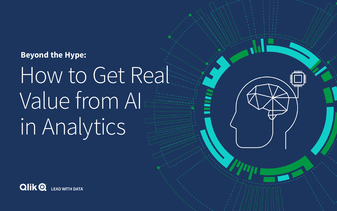# How to Get Real Value from AI in Analytics





# **Beyond the Hype:**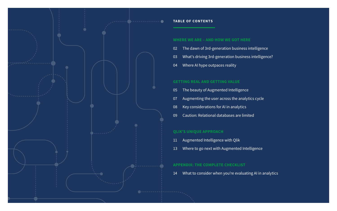# **WHERE WE ARE – AND HOW WE GOT HERE**

- [The dawn of 3rd-generation business intelligence](#page-2-0)
- [What's driving 3rd-generation business intelligence?](#page-3-0)
- [Where AI hype outpaces reality](#page-4-0)

# **GETTING REAL AND GETTING VALUE**

- [The beauty of Augmented Intelligence](#page-5-0)
- [Augmenting the user across the analytics cycle](#page-7-0)
- [Key considerations for AI in analytics](#page-8-0)
- [Caution: Relational databases are limited](#page-9-0)

# **QLIK'S UNIQUE APPROACH**

- [Augmented Intelligence with Qlik](#page-11-0)
- [Where to go next with Augmented Intelligence](#page-13-0)

# **APPENDIX: THE COMPLETE CHECKLIST**

[What to consider when you're evaluating AI in analytics](#page-14-0)

![](_page_1_Figure_0.jpeg)

# **TABLE OF CONTENTS**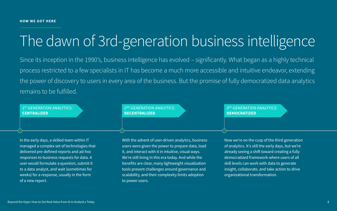In the early days, a skilled team within IT managed a complex set of technologies that delivered pre-defined reports and ad-hoc responses to business requests for data. A user would formulate a question, submit it to a data analyst, and wait (sometimes for weeks) for a response, usually in the form of a new report.

With the advent of user-driven analytics, business users were given the power to prepare data, load it, and interact with it in intuitive, visual ways. We're still living in this era today. And while the benefits are clear, many lightweight visualization tools present challenges around governance and scalability, and their complexity limits adoption to power users.

Since its inception in the 1990's, business intelligence has evolved - significantly. What began as a highly technical process restricted to a few specialists in IT has become a much more accessible and intuitive endeavor, extending the power of discovery to users in every area of the business. But the promise of fully democratized data analytics remains to be fulfilled.

> 2<sup>ND</sup>-GENERATION ANALYTICS: **DECENTRALIZED**

1<sup>ST</sup>-GENERATION ANALYTICS: **CENTRALIZED**

# 3RD-GENERATION ANALYTICS: **DEMOCRATIZED**

Now we're on the cusp of the third generation of analytics. It's still the early days, but we're already seeing a shift toward creating a fully democratized framework where users of all skill levels can work with data to generate insight, collaborate, and take action to drive organizational transformation.

# <span id="page-2-0"></span>The dawn of 3rd-generation business intelligence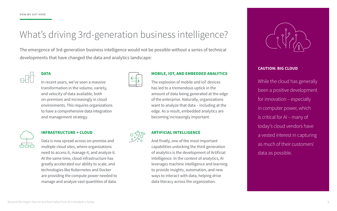# <span id="page-3-0"></span>What's driving 3rd-generation business intelligence?

The emergence of 3rd-generation business intelligence would not be possible without a series of technical developments that have changed the data and analytics landscape:

![](_page_3_Picture_3.jpeg)

# **DATA**

In recent years, we've seen a massive transformation in the volume, variety, and velocity of data available, both on-premises and increasingly in cloud environments. This requires organizations to have a comprehensive data integration and management strategy.

# **MOBILE, IOT, AND EMBEDDED ANALYTICS**

The explosion of mobile and IoT devices has led to a tremendous uptick in the amount of data being generated at the edge of the enterprise. Naturally, organizations want to analyze that data – including at the edge. As a result, embedded analytics are becoming increasingly important.

![](_page_3_Picture_9.jpeg)

# **INFRASTRUCTURE + CLOUD**

Data is now spread across on-premise and multiple cloud sites, where organizations need to access it, manage it, and analyze it. At the same time, cloud infrastructure has greatly accelerated our ability to scale, and technologies like Kubernetes and Docker are providing the compute power needed to manage and analyze vast quantities of data.

![](_page_3_Picture_12.jpeg)

# **ARTIFICIAL INTELLIGENCE**

And finally, one of the most important capabilities unlocking the third generation of analytics is the development of Artificial Intelligence. In the context of analytics, AI leverages machine intelligence and learning to provide insights, automation, and new ways to interact with data, helping drive data literacy across the organization.

# **CAUTION: BIG CLOUD**

While the cloud has generally been a positive development for innovation – especially in computer power, which is critical for AI – many of today's cloud vendors have a vested interest in capturing as much of their customers' data as possible.

![](_page_3_Picture_16.jpeg)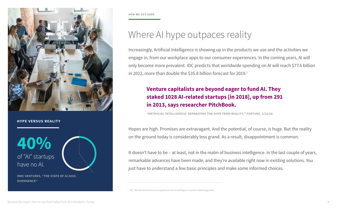Increasingly, Artificial Intelligence is showing up in the products we use and the activities we engage in, from our workplace apps to our consumer experiences. In the coming years, AI will only become more prevalent. IDC predicts that worldwide spending on AI will reach \$77.6 billion in 2022, more than double the \$35.8 billion forecast for 2019.<sup>1</sup>

# Where AI hype outpaces reality

Hopes are high. Promises are extravagant. And the potential, of course, is huge. But the reality on the ground today is considerably less grand. As a result, disappointment is common.

It doesn't have to be – at least, not in the realm of business intelligence. In the last couple of years, remarkable advances have been made, and they're available right now in existing solutions. You just have to understand a few basic principles and make some informed choices.

**"ARTIFICIAL INTELLIGENCE: SEPARATING THE HYPE FROM REALITY,"** *FORTUNE***, 1/22/19**

# **Venture capitalists are beyond eager to fund AI. They staked 1028 AI-related startups [in 2018], up from 291 in 2013, says researcher PitchBook.**

of "AI" startups have no AI. **40%**

<span id="page-4-0"></span>![](_page_4_Picture_0.jpeg)

# **HYPE VERSUS REALITY**

**MMC VENTURES, "THE STATE OF AI 2019: DIVERGENCE"** 

1 IDC, Worldwide Semiannual Cognitive Artificial Intelligence Systems Spending Guide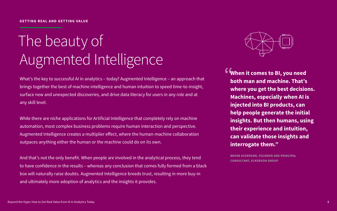# <span id="page-5-0"></span> The beauty of Augmented Intelligence

What's the key to successful AI in analytics – today? Augmented Intelligence – an approach that brings together the best of machine intelligence and human intuition to speed time-to-insight, surface new and unexpected discoveries, and drive data literacy for users in any role and at any skill level.

While there are niche applications for Artificial Intelligence that completely rely on machine automation, most complex business problems require human interaction and perspective. Augmented Intelligence creates a multiplier effect, where the human-machine collaboration outpaces anything either the human or the machine could do on its own.

**6 When it comes to BI, you need both man and machine. That's where you get the best decisions. Machines, especially when AI is injected into BI products, can help people generate the initial insights. But then humans, using their experience and intuition, can validate those insights and interrogate them."**

And that's not the only benefit. When people are involved in the analytical process, they tend to have confidence in the results – whereas any conclusion that comes fully formed from a black box will naturally raise doubts. Augmented Intelligence breeds trust, resulting in more buy-in and ultimately more adoption of analytics and the insights it provides.

**WAYNE ECKERSON, FOUNDER AND PRINCIPAL CONSULTANT, ECKERSON GROUP**

![](_page_5_Picture_8.jpeg)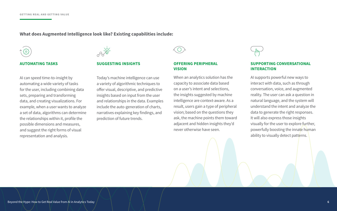# **What does Augmented Intelligence look like? Existing capabilities include:**

![](_page_6_Figure_2.jpeg)

# **AUTOMATING TASKS**

AI can speed time-to-insight by automating a wide variety of tasks for the user, including combining data sets, preparing and transforming data, and creating visualizations. For example, when a user wants to analyze a set of data, algorithms can determine the relationships within it, profile the possible dimensions and measures, and suggest the right forms of visual representation and analysis.

![](_page_6_Picture_5.jpeg)

## **SUGGESTING INSIGHTS**

AI supports powerful new ways to interact with data, such as through conversation, voice, and augmented reality. The user can ask a question in natural language, and the system will understand the intent and analyze the data to generate the right responses. It will also express those insights visually for the user to explore further, powerfully boosting the innate human ability to visually detect patterns.

Today's machine intelligence can use a variety of algorithmic techniques to offer visual, descriptive, and predictive insights based on input from the user and relationships in the data. Examples include the auto-generation of charts, narratives explaining key findings, and prediction of future trends.

**OFFERING PERIPHERAL VISION**

When an analytics solution has the capacity to associate data based on a user's intent and selections, the insights suggested by machine intelligence are context-aware. As a result, users gain a type of peripheral vision; based on the questions they ask, the machine points them toward adjacent and hidden insights they'd never otherwise have seen.

# **SUPPORTING CONVERSATIONAL INTERACTION**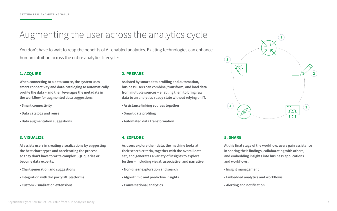# **1. ACQUIRE**

**When connecting to a data source, the system uses smart connectivity and data-cataloging to automatically profile the data – and then leverages the metadata in the workflow for augmented data suggestions:**

- **Smart connectivity**
- **Data catalogs and reuse**
- **Data augmentation suggestions**

**5**

![](_page_7_Picture_29.jpeg)

# **2. PREPARE**

**Assisted by smart data profiling and automation, business users can combine, transform, and load data from multiple sources – enabling them to bring raw data to an analytics-ready state without relying on IT.** 

- **Assistance linking sources together**
- **Smart data profiling**
- **Automated data transformation**

# **3. VISUALIZE**

**AI assists users in creating visualizations by suggesting the best chart types and accelerating the process – so they don't have to write complex SQL queries or become data experts.**

- **Chart generation and suggestions**
- **Integration with 3rd party ML platforms**
- **Custom visualization extensions**

# **4. EXPLORE**

**As users explore their data, the machine looks at their search criteria, together with the overall data set, and generates a variety of insights to explore further – including visual, associative, and narrative.** 

- **Non-linear exploration and search**
- **Algorithmic and predictive insights**
- **Conversational analytics**

# **5. SHARE**

**At this final stage of the workflow, users gain assistance in sharing their findings, collaborating with others, and embedding insights into business applications and workflows.** 

- **Insight management**
- **Embedded analytics and workflows**
- **Alerting and notification**

# <span id="page-7-0"></span>Augmenting the user across the analytics cycle

You don't have to wait to reap the benefits of AI-enabled analytics. Existing technologies can enhance human intuition across the entire analytics lifecycle: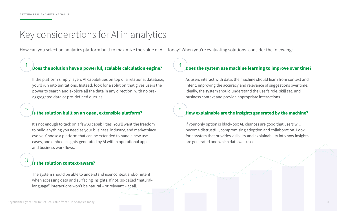3

# <span id="page-8-0"></span>Key considerations for AI in analytics

# $\frac{1}{1}$  and the solution have a nowerful scalable calculation engine? **Does the solution have a powerful, scalable calculation engine?**

How can you select an analytics platform built to maximize the value of AI – today? When you're evaluating solutions, consider the following:

# $2 \overline{5}$  is the solution built on an onen-extensible platform? **Is the solution built on an open, extensible platform?**

If the platform simply layers AI capabilities on top of a relational database, you'll run into limitations. Instead, look for a solution that gives users the power to search and explore all the data in any direction, with no preaggregated data or pre-defined queries.

It's not enough to tack on a few AI capabilities. You'll want the freedom to build anything you need as your business, industry, and marketplace evolve. Choose a platform that can be extended to handle new use cases, and embed insights generated by AI within operational apps and business workflows.

# **Is the solution context-aware?**

The system should be able to understand user context and/or intent when accessing data and surfacing insights. If not, so-called "naturallanguage" interactions won't be natural – or relevant – at all.

# **Does the system use machine learning to improve over time?**

As users interact with data, the machine should learn from context and intent, improving the accuracy and relevance of suggestions over time. Ideally, the system should understand the user's role, skill set, and business context and provide appropriate interactions.

# **How explainable are the insights generated by the machine?**

If your only option is black-box AI, chances are good that users will become distrustful, compromising adoption and collaboration. Look for a system that provides visibility and explainability into how insights are generated and which data was used.

## Beyond the Hype: How to Get Real Value from AI in Analytics Today **8**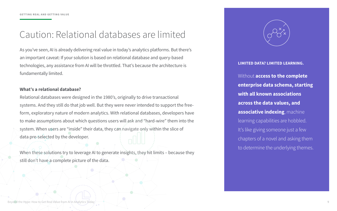# <span id="page-9-0"></span>Caution: Relational databases are limited

As you've seen, AI is already delivering real value in today's analytics platforms. But there's an important caveat: If your solution is based on relational database and query-based technologies, any assistance from AI will be throttled. That's because the architecture is fundamentally limited.

# **What's a relational database?**

Relational databases were designed in the 1980's, originally to drive transactional systems. And they still do that job well. But they were never intended to support the freeform, exploratory nature of modern analytics. With relational databases, developers have to make assumptions about which questions users will ask and "hard-wire" them into the system. When users are "inside" their data, they can navigate only within the slice of data pre-selected by the developer.

When these solutions try to leverage AI to generate insights, they hit limits – because they still don't have a complete picture of the data.

Beyond the Hype: How to Get Real Value from AI in Analytics Toda

![](_page_9_Picture_7.jpeg)

**LIMITED DATA? LIMITED LEARNING.**

Without **access to the complete enterprise data schema, starting with all known associations across the data values, and associative indexing**, machine learning capabilities are hobbled. It's like giving someone just a few chapters of a novel and asking them to determine the underlying themes.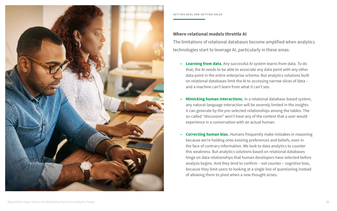**Learning from data.** Any successful AI system learns from data. To do that, the AI needs to be able to associate any data point with any other data point in the entire enterprise schema. But analytics solutions built on relational databases limit the AI to accessing narrow slices of data –

• **Mimicking human interactions.** In a relational database-based system, any natural-language interaction will be severely limited in the insights it can generate by the pre-selected relationships among the tables. The so-called "discussion" won't have any of the context that a user would

- and a machine can't learn from what it can't see.
- experience in a conversation with an actual human.
- of allowing them to pivot when a new thought arises.

• **Correcting human bias.** Humans frequently make mistakes in reasoning because we're holding onto existing preferences and beliefs, even in the face of contrary information. We look to data analytics to counter this weakness. But analytics solutions based on relational databases hinge on data relationships that human developers have selected before analysis begins. And they tend to confirm – not counter – cognitive bias, because they limit users to looking at a single line of questioning instead

**Where relational models throttle AI** The limitations of relational databases become amplified when analytics technologies start to leverage AI, particularly in these areas:

![](_page_10_Picture_0.jpeg)

## **GETTING REAL AND GETTING VALUE**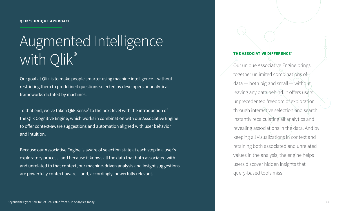# <span id="page-11-0"></span>Augmented Intelligence with Qlik®

Our goal at Qlik is to make people smarter using machine intelligence – without restricting them to predefined questions selected by developers or analytical frameworks dictated by machines.

To that end, we've taken Qlik Sense $^\circ$  to the next level with the introduction of the Qlik Cognitive Engine, which works in combination with our Associative Engine to offer context-aware suggestions and automation aligned with user behavior and intuition.

Because our Associative Engine is aware of selection state at each step in a user's exploratory process, and because it knows all the data that both associated with and unrelated to that context, our machine-driven analysis and insight suggestions are powerfully context-aware – and, accordingly, powerfully relevant.

![](_page_11_Figure_5.jpeg)

# **THE ASSOCIATIVE DIFFERENCE®**

Our unique Associative Engine brings together unlimited combinations of data — both big and small  $\cong$  without leaving any data behind. It offers users unprecedented freedom of exploration through interactive selection and search, instantly recalculating all analytics and revealing associations in the data. And by keeping all visualizations in context and retaining both associated and unrelated values in the analysis, the engine helps users discover hidden insights that query-based tools miss.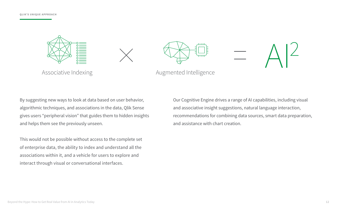By suggesting new ways to look at data based on user behavior, algorithmic techniques, and associations in the data, Qlik Sense gives users "peripheral vision" that guides them to hidden insights and helps them see the previously unseen.

This would not be possible without access to the complete set of enterprise data, the ability to index and understand all the associations within it, and a vehicle for users to explore and interact through visual or conversational interfaces.

Our Cognitive Engine drives a range of AI capabilities, including visual and associative insight suggestions, natural language interaction, recommendations for combining data sources, smart data preparation, and assistance with chart creation.

![](_page_12_Picture_1.jpeg)

![](_page_12_Figure_2.jpeg)

![](_page_12_Figure_4.jpeg)

Associative Indexing **Augmented Intelligence** 

# $A^2$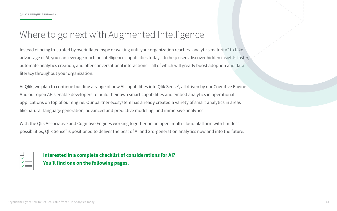# <span id="page-13-0"></span>Where to go next with Augmented Intelligence

Instead of being frustrated by overinflated hype or waiting until your organization reaches "analytics maturity" to t advantage of AI, you can leverage machine intelligence capabilities today - to help users discover hidden insights automate analytics creation, and offer conversational interactions - all of which will greatly boost adoption and d literacy throughout your organization.

At Qlik, we plan to continue building a range of new AI capabilities into Qlik Sense®, all driven by our Cognitive Engine. And our open APIs enable developers to build their own smart capabilities and embed analytics in operational applications on top of our engine. Our partner ecosystem has already created a variety of smart analytics in area like natural-language generation, advanced and predictive modeling, and immersive analytics.

With the Qlik Associative and Cognitive Engines working together on an open, multi-cloud platform with limitless possibilities, Qlik Sense® is positioned to deliver the best of AI and 3rd-generation analytics now and into the future.

**Interested in a complete checklist of considerations for AI? You'll find one on the following pages.**

| ake     |  |  |
|---------|--|--|
| faster, |  |  |
| data    |  |  |
|         |  |  |
|         |  |  |
| ngine.  |  |  |
|         |  |  |
| as      |  |  |
|         |  |  |
|         |  |  |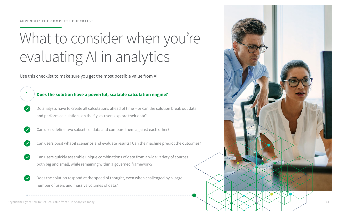# What to consider when you're evaluating AI in analytics

Use this checklist to make sure you get the most possible value from AI:

![](_page_14_Figure_3.jpeg)

<span id="page-14-0"></span>![](_page_14_Picture_5.jpeg)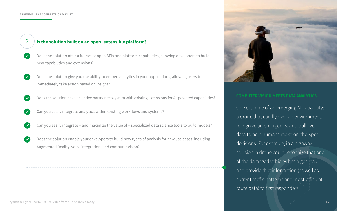2

One example of an emerging AI capability: a drone that can fly over an environment, recognize an emergency, and pull live data to help humans make on-the-spot decisions. For example, in a highway collision, a drone could recognize that one of the damaged vehicles has a gas leak – and provide that information (as well as current traffic patterns and most-efficientroute data) to first responders.

# **Is the solution built on an open, extensible platform?**

- Does the solution offer a full set of open APIs and platform capabilities, allowing developers to build new capabilities and extensions?
- Does the solution give you the ability to embed analytics in your applications, allowing users to immediately take action based on insight?
- Does the solution have an active partner ecosystem with existing extensions for AI-powered capabilities?
- Can you easily integrate analytics within existing workflows and systems?
- Can you easily integrate and maximize the value of specialized data science tools to build models?
- Does the solution enable your developers to build new types of analysis for new use cases, including Augmented Reality, voice integration, and computer vision?

![](_page_15_Picture_9.jpeg)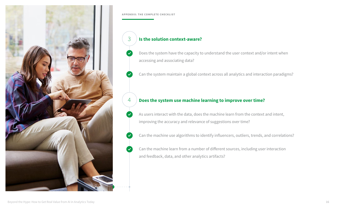4

# 3 **Is the solution context-aware?**

- Does the system have the capacity to understand the user context and/or intent when accessing and associating data?
- Can the system maintain a global context across all analytics and interaction paradigms?

# **Does the system use machine learning to improve over time?**

- As users interact with the data, does the machine learn from the context and intent, improving the accuracy and relevance of suggestions over time?
- Can the machine use algorithms to identify influencers, outliers, trends, and correlations?
- Can the machine learn from a number of different sources, including user interaction and feedback, data, and other analytics artifacts?

![](_page_16_Picture_0.jpeg)

## **APPENDIX: THE COMPLETE CHECKLIST**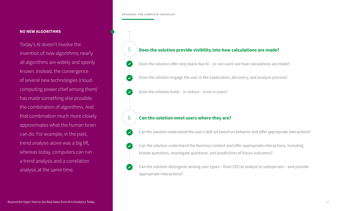# **NO NEW ALGORITHMS**

Today's AI doesn't involve the invention of new algorithms; nearly all algorithms are widely and openly known. Instead, the convergence of several new technologies (cloudcomputing power chief among them) has made something else possible: the combination of algorithms. And that combination much more closely approximates what the human brain can do. For example, in the past, trend analysis alone was a big lift, whereas today, computers can run a trend analysis and a correlation analysis at the same time.

![](_page_17_Figure_3.jpeg)

## **APPENDIX: THE COMPLETE CHECKLIST**